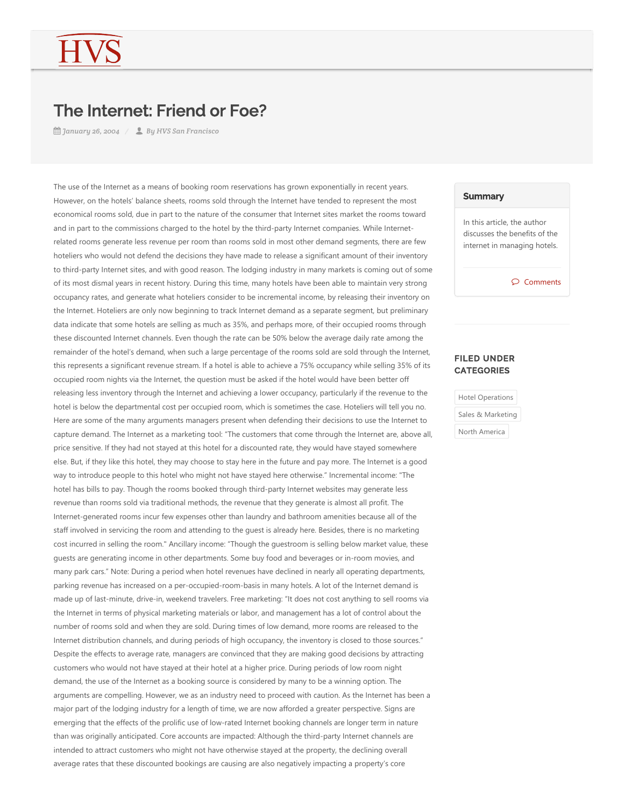## The Internet: Friend or Foe?

*January 26, 2004 By HVS San Francisco*

The use of the Internet as a means of booking room reservations has grown exponentially in recent years. However, on the hotels' balance sheets, rooms sold through the Internet have tended to represent the most economical rooms sold, due in part to the nature of the consumer that Internet sites market the rooms toward and in part to the commissions charged to the hotel by the third-party Internet companies. While Internetrelated rooms generate less revenue per room than rooms sold in most other demand segments, there are few hoteliers who would not defend the decisions they have made to release a significant amount of their inventory to third‐party Internet sites, and with good reason. The lodging industry in many markets is coming out of some of its most dismal years in recent history. During this time, many hotels have been able to maintain very strong occupancy rates, and generate what hoteliers consider to be incremental income, by releasing their inventory on the Internet. Hoteliers are only now beginning to track Internet demand as a separate segment, but preliminary data indicate that some hotels are selling as much as 35%, and perhaps more, of their occupied rooms through these discounted Internet channels. Even though the rate can be 50% below the average daily rate among the remainder of the hotel's demand, when such a large percentage of the rooms sold are sold through the Internet, this represents a significant revenue stream. If a hotel is able to achieve a 75% occupancy while selling 35% of its occupied room nights via the Internet, the question must be asked if the hotel would have been better off releasing less inventory through the Internet and achieving a lower occupancy, particularly if the revenue to the hotel is below the departmental cost per occupied room, which is sometimes the case. Hoteliers will tell you no. Here are some of the many arguments managers present when defending their decisions to use the Internet to capture demand. The Internet as a marketing tool: "The customers that come through the Internet are, above all, price sensitive. If they had not stayed at this hotel for a discounted rate, they would have stayed somewhere else. But, if they like this hotel, they may choose to stay here in the future and pay more. The Internet is a good way to introduce people to this hotel who might not have stayed here otherwise." Incremental income: "The hotel has bills to pay. Though the rooms booked through third‐party Internet websites may generate less revenue than rooms sold via traditional methods, the revenue that they generate is almost all profit. The Internet‐generated rooms incur few expenses other than laundry and bathroom amenities because all of the staff involved in servicing the room and attending to the guest is already here. Besides, there is no marketing cost incurred in selling the room." Ancillary income: "Though the guestroom is selling below market value, these guests are generating income in other departments. Some buy food and beverages or in‐room movies, and many park cars." Note: During a period when hotel revenues have declined in nearly all operating departments, parking revenue has increased on a per-occupied-room-basis in many hotels. A lot of the Internet demand is made up of last-minute, drive-in, weekend travelers. Free marketing: "It does not cost anything to sell rooms via the Internet in terms of physical marketing materials or labor, and management has a lot of control about the number of rooms sold and when they are sold. During times of low demand, more rooms are released to the Internet distribution channels, and during periods of high occupancy, the inventory is closed to those sources." Despite the effects to average rate, managers are convinced that they are making good decisions by attracting customers who would not have stayed at their hotel at a higher price. During periods of low room night demand, the use of the Internet as a booking source is considered by many to be a winning option. The arguments are compelling. However, we as an industry need to proceed with caution. As the Internet has been a major part of the lodging industry for a length of time, we are now afforded a greater perspective. Signs are emerging that the effects of the prolific use of low-rated Internet booking channels are longer term in nature than was originally anticipated. Core accounts are impacted: Although the third‐party Internet channels are intended to attract customers who might not have otherwise stayed at the property, the declining overall average rates that these discounted bookings are causing are also negatively impacting a property's core

## **Summary**

In this article, the author discusses the benefits of the internet in managing hotels.

 $\wp$  Comments

## FILED UNDER **CATEGORIES**